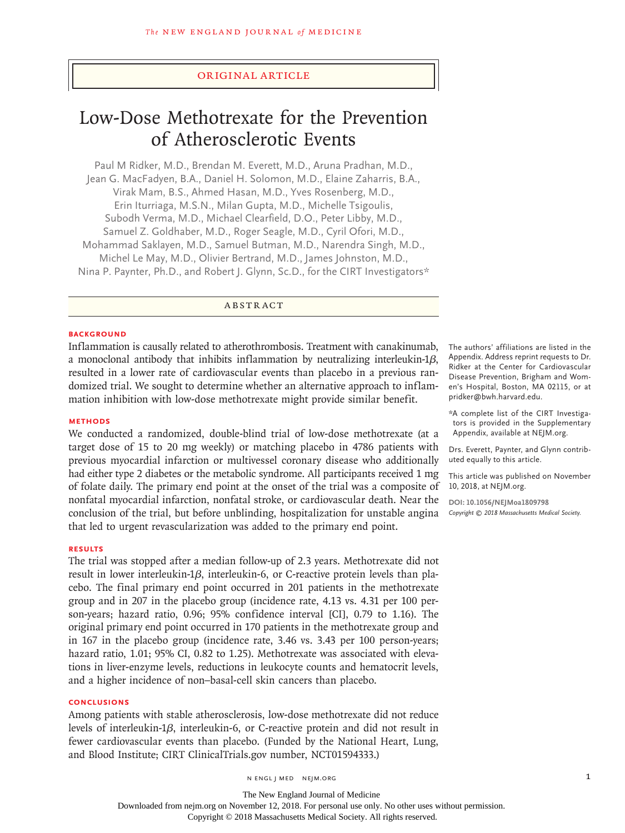## Original Article

# Low-Dose Methotrexate for the Prevention of Atherosclerotic Events

Paul M Ridker, M.D., Brendan M. Everett, M.D., Aruna Pradhan, M.D., Jean G. MacFadyen, B.A., Daniel H. Solomon, M.D., Elaine Zaharris, B.A., Virak Mam, B.S., Ahmed Hasan, M.D., Yves Rosenberg, M.D., Erin Iturriaga, M.S.N., Milan Gupta, M.D., Michelle Tsigoulis, Subodh Verma, M.D., Michael Clearfield, D.O., Peter Libby, M.D., Samuel Z. Goldhaber, M.D., Roger Seagle, M.D., Cyril Ofori, M.D., Mohammad Saklayen, M.D., Samuel Butman, M.D., Narendra Singh, M.D., Michel Le May, M.D., Olivier Bertrand, M.D., James Johnston, M.D., Nina P. Paynter, Ph.D., and Robert J. Glynn, Sc.D., for the CIRT Investigators\*

ABSTRACT

#### **BACKGROUND**

Inflammation is causally related to atherothrombosis. Treatment with canakinumab, a monoclonal antibody that inhibits inflammation by neutralizing interleukin-1 $\beta$ , resulted in a lower rate of cardiovascular events than placebo in a previous randomized trial. We sought to determine whether an alternative approach to inflammation inhibition with low-dose methotrexate might provide similar benefit.

## **METHODS**

We conducted a randomized, double-blind trial of low-dose methotrexate (at a target dose of 15 to 20 mg weekly) or matching placebo in 4786 patients with previous myocardial infarction or multivessel coronary disease who additionally had either type 2 diabetes or the metabolic syndrome. All participants received 1 mg of folate daily. The primary end point at the onset of the trial was a composite of nonfatal myocardial infarction, nonfatal stroke, or cardiovascular death. Near the conclusion of the trial, but before unblinding, hospitalization for unstable angina that led to urgent revascularization was added to the primary end point.

#### **RESULTS**

The trial was stopped after a median follow-up of 2.3 years. Methotrexate did not result in lower interleukin-1β, interleukin-6, or C-reactive protein levels than placebo. The final primary end point occurred in 201 patients in the methotrexate group and in 207 in the placebo group (incidence rate, 4.13 vs. 4.31 per 100 person-years; hazard ratio, 0.96; 95% confidence interval [CI], 0.79 to 1.16). The original primary end point occurred in 170 patients in the methotrexate group and in 167 in the placebo group (incidence rate, 3.46 vs. 3.43 per 100 person-years; hazard ratio, 1.01; 95% CI, 0.82 to 1.25). Methotrexate was associated with elevations in liver-enzyme levels, reductions in leukocyte counts and hematocrit levels, and a higher incidence of non–basal-cell skin cancers than placebo.

#### **CONCLUSIONS**

Among patients with stable atherosclerosis, low-dose methotrexate did not reduce levels of interleukin-1β, interleukin-6, or C-reactive protein and did not result in fewer cardiovascular events than placebo. (Funded by the National Heart, Lung, and Blood Institute; CIRT ClinicalTrials.gov number, NCT01594333.)

The authors' affiliations are listed in the Appendix. Address reprint requests to Dr. Ridker at the Center for Cardiovascular Disease Prevention, Brigham and Women's Hospital, Boston, MA 02115, or at pridker@bwh.harvard.edu.

\*A complete list of the CIRT Investigators is provided in the Supplementary Appendix, available at NEJM.org.

Drs. Everett, Paynter, and Glynn contributed equally to this article.

This article was published on November 10, 2018, at NEJM.org.

**DOI: 10.1056/NEJMoa1809798** *Copyright © 2018 Massachusetts Medical Society.*

The New England Journal of Medicine Downloaded from nejm.org on November 12, 2018. For personal use only. No other uses without permission.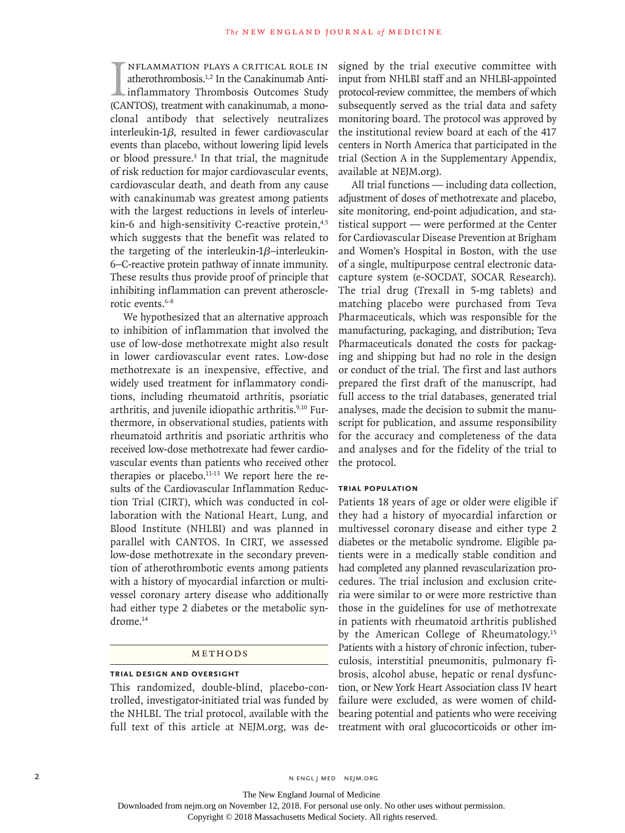$\prod_{\substack{m\\c\neq n}}$ nflammation plays a critical role in atherothrombosis.1,2 In the Canakinumab Antiinflammatory Thrombosis Outcomes Study (CANTOS), treatment with canakinumab, a monoclonal antibody that selectively neutralizes interleukin-1β, resulted in fewer cardiovascular events than placebo, without lowering lipid levels or blood pressure.<sup>3</sup> In that trial, the magnitude of risk reduction for major cardiovascular events, cardiovascular death, and death from any cause with canakinumab was greatest among patients with the largest reductions in levels of interleukin-6 and high-sensitivity C-reactive protein,<sup>4,5</sup> which suggests that the benefit was related to the targeting of the interleukin-1β–interleukin-6–C-reactive protein pathway of innate immunity. These results thus provide proof of principle that inhibiting inflammation can prevent atherosclerotic events.<sup>6-8</sup>

We hypothesized that an alternative approach to inhibition of inflammation that involved the use of low-dose methotrexate might also result in lower cardiovascular event rates. Low-dose methotrexate is an inexpensive, effective, and widely used treatment for inflammatory conditions, including rheumatoid arthritis, psoriatic arthritis, and juvenile idiopathic arthritis.<sup>9,10</sup> Furthermore, in observational studies, patients with rheumatoid arthritis and psoriatic arthritis who received low-dose methotrexate had fewer cardiovascular events than patients who received other therapies or placebo.<sup>11-13</sup> We report here the results of the Cardiovascular Inflammation Reduction Trial (CIRT), which was conducted in collaboration with the National Heart, Lung, and Blood Institute (NHLBI) and was planned in parallel with CANTOS. In CIRT, we assessed low-dose methotrexate in the secondary prevention of atherothrombotic events among patients with a history of myocardial infarction or multivessel coronary artery disease who additionally had either type 2 diabetes or the metabolic syndrome.<sup>14</sup>

#### **METHODS**

#### **Trial Design and Oversight**

This randomized, double-blind, placebo-controlled, investigator-initiated trial was funded by the NHLBI. The trial protocol, available with the full text of this article at NEJM.org, was designed by the trial executive committee with input from NHLBI staff and an NHLBI-appointed protocol-review committee, the members of which subsequently served as the trial data and safety monitoring board. The protocol was approved by the institutional review board at each of the 417 centers in North America that participated in the trial (Section A in the Supplementary Appendix, available at NEJM.org).

All trial functions — including data collection, adjustment of doses of methotrexate and placebo, site monitoring, end-point adjudication, and statistical support — were performed at the Center for Cardiovascular Disease Prevention at Brigham and Women's Hospital in Boston, with the use of a single, multipurpose central electronic datacapture system (e-SOCDAT, SOCAR Research). The trial drug (Trexall in 5-mg tablets) and matching placebo were purchased from Teva Pharmaceuticals, which was responsible for the manufacturing, packaging, and distribution; Teva Pharmaceuticals donated the costs for packaging and shipping but had no role in the design or conduct of the trial. The first and last authors prepared the first draft of the manuscript, had full access to the trial databases, generated trial analyses, made the decision to submit the manuscript for publication, and assume responsibility for the accuracy and completeness of the data and analyses and for the fidelity of the trial to the protocol.

#### **Trial Population**

Patients 18 years of age or older were eligible if they had a history of myocardial infarction or multivessel coronary disease and either type 2 diabetes or the metabolic syndrome. Eligible patients were in a medically stable condition and had completed any planned revascularization procedures. The trial inclusion and exclusion criteria were similar to or were more restrictive than those in the guidelines for use of methotrexate in patients with rheumatoid arthritis published by the American College of Rheumatology.<sup>15</sup> Patients with a history of chronic infection, tuberculosis, interstitial pneumonitis, pulmonary fibrosis, alcohol abuse, hepatic or renal dysfunction, or New York Heart Association class IV heart failure were excluded, as were women of childbearing potential and patients who were receiving treatment with oral glucocorticoids or other im-

2 N ENGL J MED NEJM.ORG

The New England Journal of Medicine

Downloaded from nejm.org on November 12, 2018. For personal use only. No other uses without permission.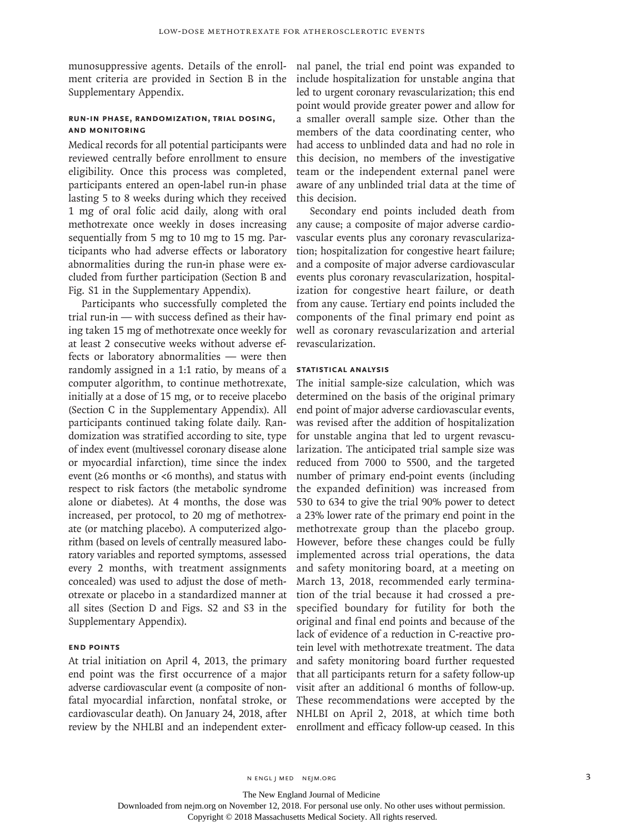munosuppressive agents. Details of the enrollment criteria are provided in Section B in the Supplementary Appendix.

# **Run-in Phase, Randomization, Trial Dosing, and Monitoring**

Medical records for all potential participants were reviewed centrally before enrollment to ensure eligibility. Once this process was completed, participants entered an open-label run-in phase lasting 5 to 8 weeks during which they received 1 mg of oral folic acid daily, along with oral methotrexate once weekly in doses increasing sequentially from 5 mg to 10 mg to 15 mg. Participants who had adverse effects or laboratory abnormalities during the run-in phase were excluded from further participation (Section B and Fig. S1 in the Supplementary Appendix).

Participants who successfully completed the trial run-in — with success defined as their having taken 15 mg of methotrexate once weekly for at least 2 consecutive weeks without adverse effects or laboratory abnormalities — were then randomly assigned in a 1:1 ratio, by means of a computer algorithm, to continue methotrexate, initially at a dose of 15 mg, or to receive placebo (Section C in the Supplementary Appendix). All participants continued taking folate daily. Randomization was stratified according to site, type of index event (multivessel coronary disease alone or myocardial infarction), time since the index event (≥6 months or <6 months), and status with respect to risk factors (the metabolic syndrome alone or diabetes). At 4 months, the dose was increased, per protocol, to 20 mg of methotrexate (or matching placebo). A computerized algorithm (based on levels of centrally measured laboratory variables and reported symptoms, assessed every 2 months, with treatment assignments concealed) was used to adjust the dose of methotrexate or placebo in a standardized manner at all sites (Section D and Figs. S2 and S3 in the Supplementary Appendix).

# **End Points**

At trial initiation on April 4, 2013, the primary end point was the first occurrence of a major adverse cardiovascular event (a composite of nonfatal myocardial infarction, nonfatal stroke, or cardiovascular death). On January 24, 2018, after review by the NHLBI and an independent external panel, the trial end point was expanded to include hospitalization for unstable angina that led to urgent coronary revascularization; this end point would provide greater power and allow for a smaller overall sample size. Other than the members of the data coordinating center, who had access to unblinded data and had no role in this decision, no members of the investigative team or the independent external panel were aware of any unblinded trial data at the time of this decision.

Secondary end points included death from any cause; a composite of major adverse cardiovascular events plus any coronary revascularization; hospitalization for congestive heart failure; and a composite of major adverse cardiovascular events plus coronary revascularization, hospitalization for congestive heart failure, or death from any cause. Tertiary end points included the components of the final primary end point as well as coronary revascularization and arterial revascularization.

# **Statistical Analysis**

The initial sample-size calculation, which was determined on the basis of the original primary end point of major adverse cardiovascular events, was revised after the addition of hospitalization for unstable angina that led to urgent revascularization. The anticipated trial sample size was reduced from 7000 to 5500, and the targeted number of primary end-point events (including the expanded definition) was increased from 530 to 634 to give the trial 90% power to detect a 23% lower rate of the primary end point in the methotrexate group than the placebo group. However, before these changes could be fully implemented across trial operations, the data and safety monitoring board, at a meeting on March 13, 2018, recommended early termination of the trial because it had crossed a prespecified boundary for futility for both the original and final end points and because of the lack of evidence of a reduction in C-reactive protein level with methotrexate treatment. The data and safety monitoring board further requested that all participants return for a safety follow-up visit after an additional 6 months of follow-up. These recommendations were accepted by the NHLBI on April 2, 2018, at which time both enrollment and efficacy follow-up ceased. In this

n engl j med nejm.org 3

The New England Journal of Medicine

Downloaded from nejm.org on November 12, 2018. For personal use only. No other uses without permission.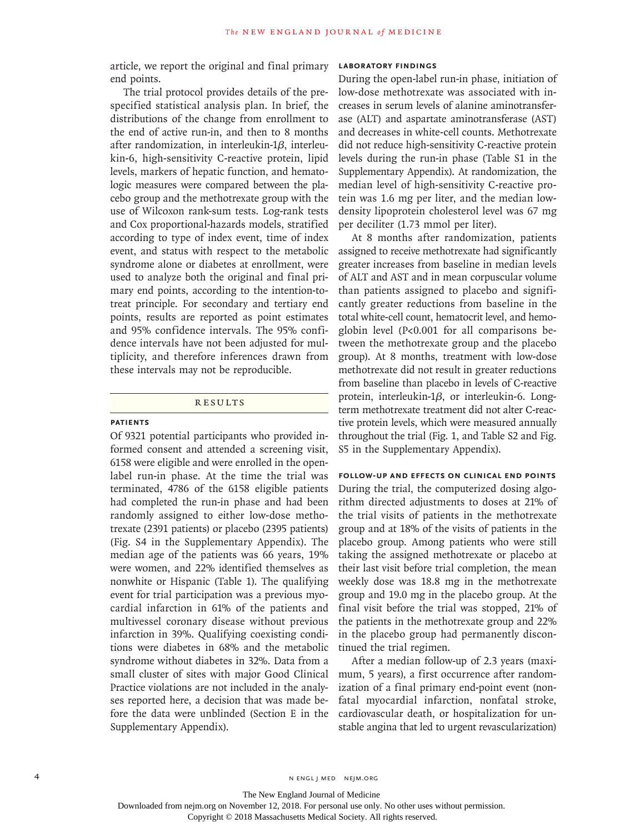article, we report the original and final primary end points.

The trial protocol provides details of the prespecified statistical analysis plan. In brief, the distributions of the change from enrollment to the end of active run-in, and then to 8 months after randomization, in interleukin-1β, interleukin-6, high-sensitivity C-reactive protein, lipid levels, markers of hepatic function, and hematologic measures were compared between the placebo group and the methotrexate group with the use of Wilcoxon rank-sum tests. Log-rank tests and Cox proportional-hazards models, stratified according to type of index event, time of index event, and status with respect to the metabolic syndrome alone or diabetes at enrollment, were used to analyze both the original and final primary end points, according to the intention-totreat principle. For secondary and tertiary end points, results are reported as point estimates and 95% confidence intervals. The 95% confidence intervals have not been adjusted for multiplicity, and therefore inferences drawn from these intervals may not be reproducible.

#### **RESULTS**

## **Patients**

Of 9321 potential participants who provided informed consent and attended a screening visit, 6158 were eligible and were enrolled in the openlabel run-in phase. At the time the trial was terminated, 4786 of the 6158 eligible patients had completed the run-in phase and had been randomly assigned to either low-dose methotrexate (2391 patients) or placebo (2395 patients) (Fig. S4 in the Supplementary Appendix). The median age of the patients was 66 years, 19% were women, and 22% identified themselves as nonwhite or Hispanic (Table 1). The qualifying event for trial participation was a previous myocardial infarction in 61% of the patients and multivessel coronary disease without previous infarction in 39%. Qualifying coexisting conditions were diabetes in 68% and the metabolic syndrome without diabetes in 32%. Data from a small cluster of sites with major Good Clinical Practice violations are not included in the analyses reported here, a decision that was made before the data were unblinded (Section E in the Supplementary Appendix).

## **Laboratory Findings**

During the open-label run-in phase, initiation of low-dose methotrexate was associated with increases in serum levels of alanine aminotransferase (ALT) and aspartate aminotransferase (AST) and decreases in white-cell counts. Methotrexate did not reduce high-sensitivity C-reactive protein levels during the run-in phase (Table S1 in the Supplementary Appendix). At randomization, the median level of high-sensitivity C-reactive protein was 1.6 mg per liter, and the median lowdensity lipoprotein cholesterol level was 67 mg per deciliter (1.73 mmol per liter).

At 8 months after randomization, patients assigned to receive methotrexate had significantly greater increases from baseline in median levels of ALT and AST and in mean corpuscular volume than patients assigned to placebo and significantly greater reductions from baseline in the total white-cell count, hematocrit level, and hemoglobin level (P<0.001 for all comparisons between the methotrexate group and the placebo group). At 8 months, treatment with low-dose methotrexate did not result in greater reductions from baseline than placebo in levels of C-reactive protein, interleukin-1β, or interleukin-6. Longterm methotrexate treatment did not alter C-reactive protein levels, which were measured annually throughout the trial (Fig. 1, and Table S2 and Fig. S5 in the Supplementary Appendix).

## **Follow-up and Effects on Clinical End Points**

During the trial, the computerized dosing algorithm directed adjustments to doses at 21% of the trial visits of patients in the methotrexate group and at 18% of the visits of patients in the placebo group. Among patients who were still taking the assigned methotrexate or placebo at their last visit before trial completion, the mean weekly dose was 18.8 mg in the methotrexate group and 19.0 mg in the placebo group. At the final visit before the trial was stopped, 21% of the patients in the methotrexate group and 22% in the placebo group had permanently discontinued the trial regimen.

After a median follow-up of 2.3 years (maximum, 5 years), a first occurrence after randomization of a final primary end-point event (nonfatal myocardial infarction, nonfatal stroke, cardiovascular death, or hospitalization for unstable angina that led to urgent revascularization)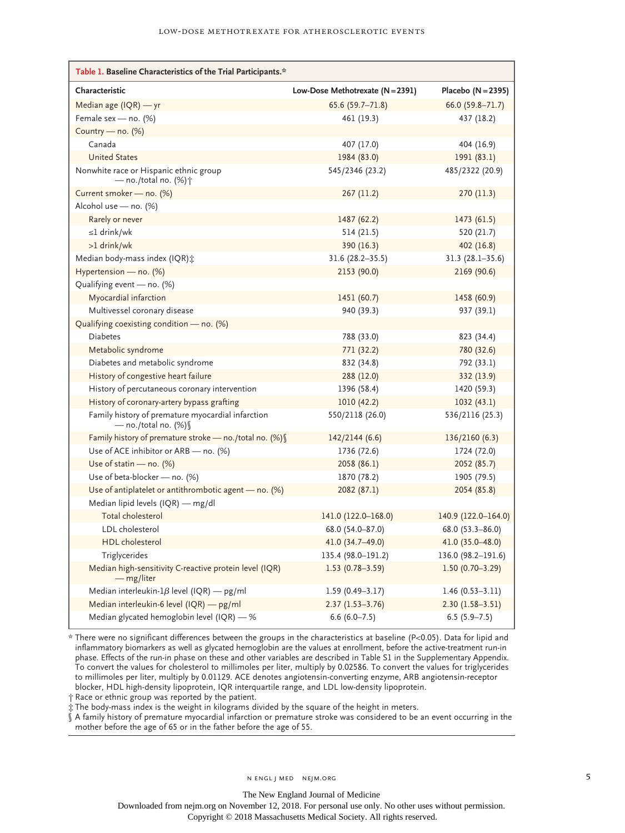| Table 1. Baseline Characteristics of the Trial Participants.*             |                                |                      |
|---------------------------------------------------------------------------|--------------------------------|----------------------|
| Characteristic                                                            | Low-Dose Methotrexate (N=2391) | Placebo $(N = 2395)$ |
| Median age (IQR) - yr                                                     | $65.6(59.7-71.8)$              | $66.0(59.8 - 71.7)$  |
| Female sex - no. (%)                                                      | 461 (19.3)                     | 437 (18.2)           |
| Country - no. (%)                                                         |                                |                      |
| Canada                                                                    | 407 (17.0)                     | 404 (16.9)           |
| <b>United States</b>                                                      | 1984 (83.0)                    | 1991 (83.1)          |
| Nonwhite race or Hispanic ethnic group<br>— no./total no. (%)†            | 545/2346 (23.2)                | 485/2322 (20.9)      |
| Current smoker - no. (%)                                                  | 267 (11.2)                     | 270 (11.3)           |
| Alcohol use - no. (%)                                                     |                                |                      |
| Rarely or never                                                           | 1487 (62.2)                    | 1473 (61.5)          |
| $\leq$ 1 drink/wk                                                         | 514(21.5)                      | 520 (21.7)           |
| >1 drink/wk                                                               | 390 (16.3)                     | 402 (16.8)           |
| Median body-mass index (IQR) $\ddot{x}$                                   | $31.6(28.2 - 35.5)$            | $31.3(28.1 - 35.6)$  |
| Hypertension - no. (%)                                                    | 2153 (90.0)                    | 2169 (90.6)          |
| Qualifying event - no. (%)                                                |                                |                      |
| Myocardial infarction                                                     | 1451 (60.7)                    | 1458 (60.9)          |
| Multivessel coronary disease                                              | 940 (39.3)                     | 937 (39.1)           |
| Qualifying coexisting condition - no. (%)                                 |                                |                      |
| <b>Diabetes</b>                                                           | 788 (33.0)                     | 823 (34.4)           |
| Metabolic syndrome                                                        | 771 (32.2)                     | 780 (32.6)           |
| Diabetes and metabolic syndrome                                           | 832 (34.8)                     | 792 (33.1)           |
| History of congestive heart failure                                       | 288 (12.0)                     | 332 (13.9)           |
| History of percutaneous coronary intervention                             | 1396 (58.4)                    | 1420 (59.3)          |
| History of coronary-artery bypass grafting                                | 1010 (42.2)                    | 1032(43.1)           |
| Family history of premature myocardial infarction<br>— no./total no. (%)\ | 550/2118 (26.0)                | 536/2116 (25.3)      |
| Family history of premature stroke - no./total no. (%) [                  | 142/2144 (6.6)                 | 136/2160 (6.3)       |
| Use of ACE inhibitor or ARB - no. (%)                                     | 1736 (72.6)                    | 1724 (72.0)          |
| Use of statin - no. $(\%)$                                                | 2058 (86.1)                    | 2052 (85.7)          |
| Use of beta-blocker - no. (%)                                             | 1870 (78.2)                    | 1905 (79.5)          |
| Use of antiplatelet or antithrombotic agent - no. (%)                     | 2082 (87.1)                    | 2054 (85.8)          |
| Median lipid levels (IQR) - mg/dl                                         |                                |                      |
| Total cholesterol                                                         | 141.0 (122.0-168.0)            | 140.9 (122.0-164.0)  |
| LDL cholesterol                                                           | 68.0 (54.0-87.0)               | $68.0(53.3 - 86.0)$  |
| <b>HDL</b> cholesterol                                                    | $41.0(34.7-49.0)$              | 41.0 (35.0-48.0)     |
| Triglycerides                                                             | 135.4 (98.0-191.2)             | 136.0 (98.2-191.6)   |
| Median high-sensitivity C-reactive protein level (IQR)<br>— mg/liter      | $1.53(0.78 - 3.59)$            | $1.50(0.70-3.29)$    |
| Median interleukin-1 $\beta$ level (IQR) — pg/ml                          | $1.59(0.49 - 3.17)$            | $1.46(0.53 - 3.11)$  |
| Median interleukin-6 level (IQR) — pg/ml                                  | $2.37(1.53 - 3.76)$            | $2.30(1.58 - 3.51)$  |
| Median glycated hemoglobin level (IQR) $-$ %                              | $6.6(6.0 - 7.5)$               | $6.5(5.9 - 7.5)$     |

\* There were no significant differences between the groups in the characteristics at baseline (P<0.05). Data for lipid and inflammatory biomarkers as well as glycated hemoglobin are the values at enrollment, before the active-treatment run-in phase. Effects of the run-in phase on these and other variables are described in Table S1 in the Supplementary Appendix. To convert the values for cholesterol to millimoles per liter, multiply by 0.02586. To convert the values for triglycerides to millimoles per liter, multiply by 0.01129. ACE denotes angiotensin-converting enzyme, ARB angiotensin-receptor blocker, HDL high-density lipoprotein, IQR interquartile range, and LDL low-density lipoprotein.

† Race or ethnic group was reported by the patient.

‡ The body-mass index is the weight in kilograms divided by the square of the height in meters.

§ A family history of premature myocardial infarction or premature stroke was considered to be an event occurring in the mother before the age of 65 or in the father before the age of 55.

n engl j med nejm.org 5

The New England Journal of Medicine

Downloaded from nejm.org on November 12, 2018. For personal use only. No other uses without permission.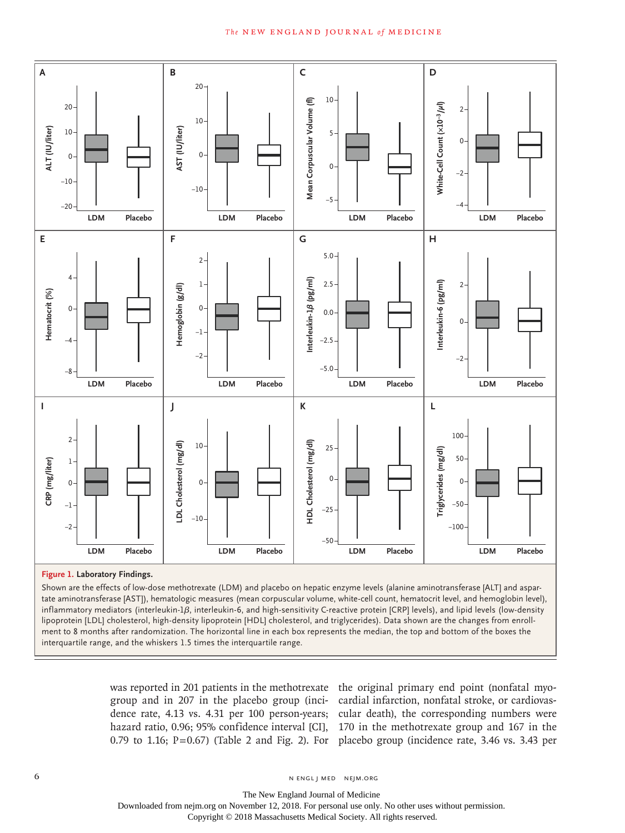#### **The NEW ENGLAND JOURNAL of MEDICINE**



#### **Figure 1. Laboratory Findings.**

Shown are the effects of low-dose methotrexate (LDM) and placebo on hepatic enzyme levels (alanine aminotransferase [ALT] and aspartate aminotransferase [AST]), hematologic measures (mean corpuscular volume, white-cell count, hematocrit level, and hemoglobin level), inflammatory mediators (interleukin-1β, interleukin-6, and high-sensitivity C-reactive protein [CRP] levels), and lipid levels (low-density lipoprotein [LDL] cholesterol, high-density lipoprotein [HDL] cholesterol, and triglycerides). Data shown are the changes from enrollment to 8 months after randomization. The horizontal line in each box represents the median, the top and bottom of the boxes the

> group and in 207 in the placebo group (incidence rate, 4.13 vs. 4.31 per 100 person-years; hazard ratio, 0.96; 95% confidence interval [CI],

was reported in 201 patients in the methotrexate the original primary end point (nonfatal myo- $0.79$  to 1.16;  $P = 0.67$ ) (Table 2 and Fig. 2). For placebo group (incidence rate, 3.46 vs. 3.43 per cardial infarction, nonfatal stroke, or cardiovascular death), the corresponding numbers were 170 in the methotrexate group and 167 in the

The New England Journal of Medicine Downloaded from nejm.org on November 12, 2018. For personal use only. No other uses without permission.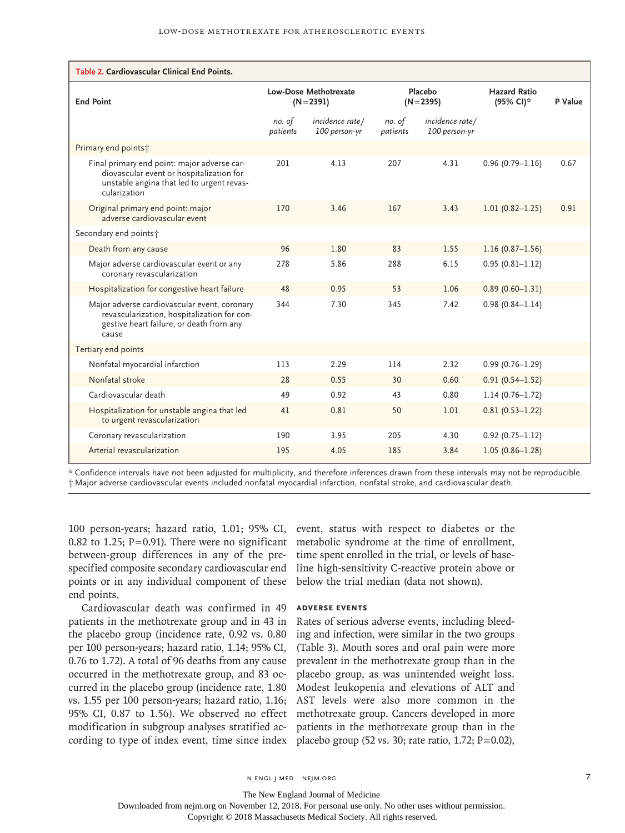| Table 2. Cardiovascular Clinical End Points.                                                                                                         |                                       |                                  |                         |                                  |                                  |         |  |  |
|------------------------------------------------------------------------------------------------------------------------------------------------------|---------------------------------------|----------------------------------|-------------------------|----------------------------------|----------------------------------|---------|--|--|
| <b>End Point</b>                                                                                                                                     | Low-Dose Methotrexate<br>$(N = 2391)$ |                                  | Placebo<br>$(N = 2395)$ |                                  | <b>Hazard Ratio</b><br>(95% CI)* | P Value |  |  |
|                                                                                                                                                      | no. of<br>patients                    | incidence rate/<br>100 person-yr | no. of<br>patients      | incidence rate/<br>100 person-yr |                                  |         |  |  |
| Primary end points;                                                                                                                                  |                                       |                                  |                         |                                  |                                  |         |  |  |
| Final primary end point: major adverse car-<br>diovascular event or hospitalization for<br>unstable angina that led to urgent revas-<br>cularization | 201                                   | 4.13                             | 207                     | 4.31                             | $0.96(0.79 - 1.16)$              | 0.67    |  |  |
| Original primary end point: major<br>adverse cardiovascular event                                                                                    | 170                                   | 3.46                             | 167                     | 3.43                             | $1.01(0.82 - 1.25)$              | 0.91    |  |  |
| Secondary end points;                                                                                                                                |                                       |                                  |                         |                                  |                                  |         |  |  |
| Death from any cause                                                                                                                                 | 96                                    | 1.80                             | 83                      | 1.55                             | $1.16(0.87 - 1.56)$              |         |  |  |
| Major adverse cardiovascular event or any<br>coronary revascularization                                                                              | 278                                   | 5.86                             | 288                     | 6.15                             | $0.95(0.81 - 1.12)$              |         |  |  |
| Hospitalization for congestive heart failure                                                                                                         | 48                                    | 0.95                             | 53                      | 1.06                             | $0.89(0.60 - 1.31)$              |         |  |  |
| Major adverse cardiovascular event, coronary<br>revascularization, hospitalization for con-<br>gestive heart failure, or death from any<br>cause     | 344                                   | 7.30                             | 345                     | 7.42                             | $0.98(0.84 - 1.14)$              |         |  |  |
| Tertiary end points                                                                                                                                  |                                       |                                  |                         |                                  |                                  |         |  |  |
| Nonfatal myocardial infarction                                                                                                                       | 113                                   | 2.29                             | 114                     | 2.32                             | $0.99(0.76 - 1.29)$              |         |  |  |
| Nonfatal stroke                                                                                                                                      | 28                                    | 0.55                             | 30                      | 0.60                             | $0.91(0.54 - 1.52)$              |         |  |  |
| Cardiovascular death                                                                                                                                 | 49                                    | 0.92                             | 43                      | 0.80                             | $1.14(0.76 - 1.72)$              |         |  |  |
| Hospitalization for unstable angina that led<br>to urgent revascularization                                                                          | 41                                    | 0.81                             | 50                      | 1.01                             | $0.81(0.53 - 1.22)$              |         |  |  |
| Coronary revascularization                                                                                                                           | 190                                   | 3.95                             | 205                     | 4.30                             | $0.92(0.75 - 1.12)$              |         |  |  |
| Arterial revascularization                                                                                                                           | 195                                   | 4.05                             | 185                     | 3.84                             | $1.05(0.86 - 1.28)$              |         |  |  |

\* Confidence intervals have not been adjusted for multiplicity, and therefore inferences drawn from these intervals may not be reproducible. † Major adverse cardiovascular events included nonfatal myocardial infarction, nonfatal stroke, and cardiovascular death.

0.82 to 1.25; P=0.91). There were no significant metabolic syndrome at the time of enrollment, between-group differences in any of the pre-time spent enrolled in the trial, or levels of basespecified composite secondary cardiovascular end line high-sensitivity C-reactive protein above or points or in any individual component of these below the trial median (data not shown). end points.

Cardiovascular death was confirmed in 49 patients in the methotrexate group and in 43 in the placebo group (incidence rate, 0.92 vs. 0.80 per 100 person-years; hazard ratio, 1.14; 95% CI, 0.76 to 1.72). A total of 96 deaths from any cause occurred in the methotrexate group, and 83 occurred in the placebo group (incidence rate, 1.80 vs. 1.55 per 100 person-years; hazard ratio, 1.16; 95% CI, 0.87 to 1.56). We observed no effect modification in subgroup analyses stratified according to type of index event, time since index

100 person-years; hazard ratio, 1.01; 95% CI, event, status with respect to diabetes or the

## **Adverse Events**

Rates of serious adverse events, including bleeding and infection, were similar in the two groups (Table 3). Mouth sores and oral pain were more prevalent in the methotrexate group than in the placebo group, as was unintended weight loss. Modest leukopenia and elevations of ALT and AST levels were also more common in the methotrexate group. Cancers developed in more patients in the methotrexate group than in the placebo group (52 vs. 30; rate ratio, 1.72; P=0.02),

The New England Journal of Medicine

Downloaded from nejm.org on November 12, 2018. For personal use only. No other uses without permission.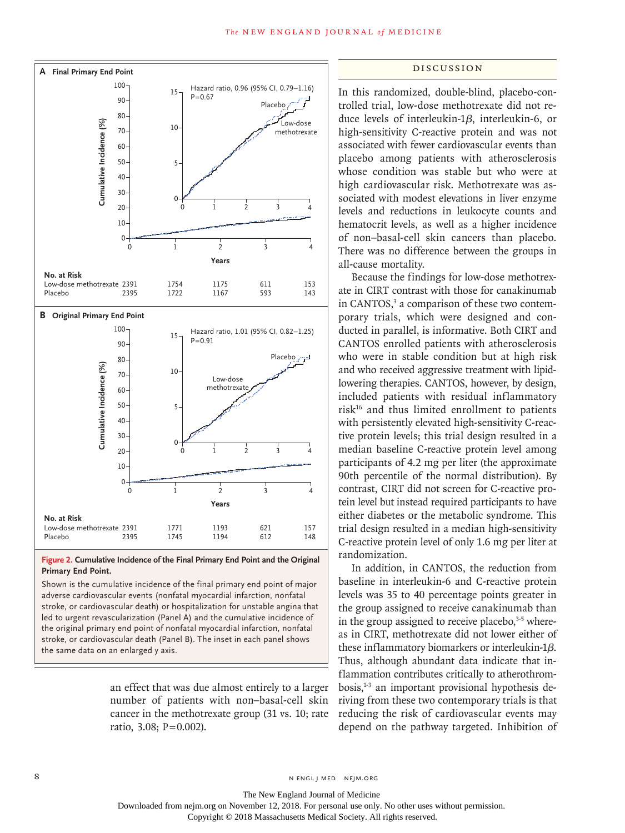

## **Figure 2. Cumulative Incidence of the Final Primary End Point and the Original Primary End Point.**

Shown is the cumulative incidence of the final primary end point of major adverse cardiovascular events (nonfatal myocardial infarction, nonfatal stroke, or cardiovascular death) or hospitalization for unstable angina that led to urgent revascularization (Panel A) and the cumulative incidence of the original primary end point of nonfatal myocardial infarction, nonfatal stroke, or cardiovascular death (Panel B). The inset in each panel shows

> an effect that was due almost entirely to a larger number of patients with non–basal-cell skin cancer in the methotrexate group (31 vs. 10; rate ratio, 3.08; P=0.002).

#### Discussion

In this randomized, double-blind, placebo-controlled trial, low-dose methotrexate did not reduce levels of interleukin-1β, interleukin-6, or high-sensitivity C-reactive protein and was not associated with fewer cardiovascular events than placebo among patients with atherosclerosis whose condition was stable but who were at high cardiovascular risk. Methotrexate was associated with modest elevations in liver enzyme levels and reductions in leukocyte counts and hematocrit levels, as well as a higher incidence of non–basal-cell skin cancers than placebo. There was no difference between the groups in all-cause mortality.

Because the findings for low-dose methotrexate in CIRT contrast with those for canakinumab in CANTOS,<sup>3</sup> a comparison of these two contemporary trials, which were designed and conducted in parallel, is informative. Both CIRT and CANTOS enrolled patients with atherosclerosis who were in stable condition but at high risk and who received aggressive treatment with lipidlowering therapies. CANTOS, however, by design, included patients with residual inflammatory risk16 and thus limited enrollment to patients with persistently elevated high-sensitivity C-reactive protein levels; this trial design resulted in a median baseline C-reactive protein level among participants of 4.2 mg per liter (the approximate 90th percentile of the normal distribution). By contrast, CIRT did not screen for C-reactive protein level but instead required participants to have either diabetes or the metabolic syndrome. This trial design resulted in a median high-sensitivity C-reactive protein level of only 1.6 mg per liter at randomization.

In addition, in CANTOS, the reduction from baseline in interleukin-6 and C-reactive protein levels was 35 to 40 percentage points greater in the group assigned to receive canakinumab than in the group assigned to receive placebo, $3-5$  whereas in CIRT, methotrexate did not lower either of these inflammatory biomarkers or interleukin-1β. Thus, although abundant data indicate that inflammation contributes critically to atherothrombosis,1-3 an important provisional hypothesis deriving from these two contemporary trials is that reducing the risk of cardiovascular events may depend on the pathway targeted. Inhibition of

8 N ENGL J MED NEJM.ORG

The New England Journal of Medicine Downloaded from nejm.org on November 12, 2018. For personal use only. No other uses without permission.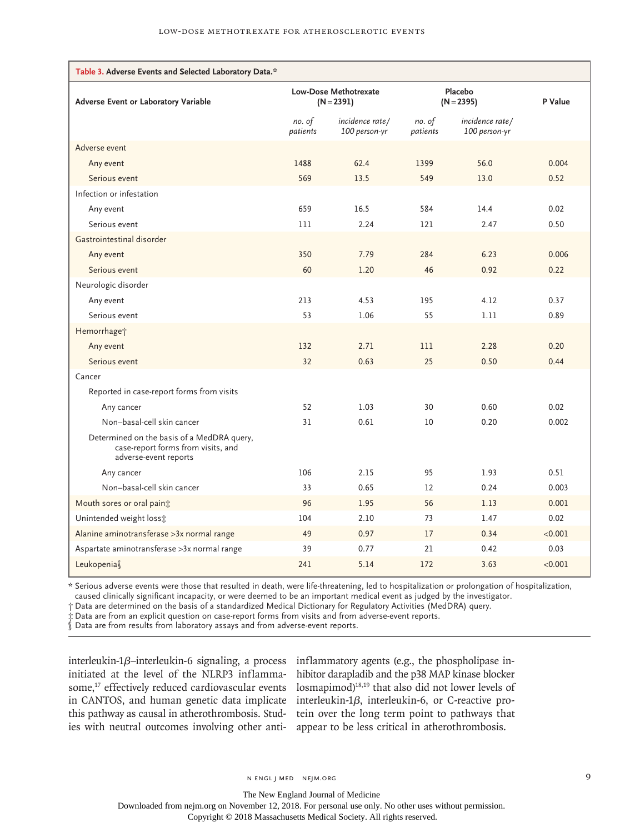| Table 3. Adverse Events and Selected Laboratory Data.*                                                    |                                       |                                  |                         |                                  |         |
|-----------------------------------------------------------------------------------------------------------|---------------------------------------|----------------------------------|-------------------------|----------------------------------|---------|
| Adverse Event or Laboratory Variable                                                                      | Low-Dose Methotrexate<br>$(N = 2391)$ |                                  | Placebo<br>$(N = 2395)$ |                                  | P Value |
|                                                                                                           | no. of<br>patients                    | incidence rate/<br>100 person-yr | no. of<br>patients      | incidence rate/<br>100 person-yr |         |
| Adverse event                                                                                             |                                       |                                  |                         |                                  |         |
| Any event                                                                                                 | 1488                                  | 62.4                             | 1399                    | 56.0                             | 0.004   |
| Serious event                                                                                             | 569                                   | 13.5                             | 549                     | 13.0                             | 0.52    |
| Infection or infestation                                                                                  |                                       |                                  |                         |                                  |         |
| Any event                                                                                                 | 659                                   | 16.5                             | 584                     | 14.4                             | 0.02    |
| Serious event                                                                                             | 111                                   | 2.24                             | 121                     | 2.47                             | 0.50    |
| Gastrointestinal disorder                                                                                 |                                       |                                  |                         |                                  |         |
| Any event                                                                                                 | 350                                   | 7.79                             | 284                     | 6.23                             | 0.006   |
| Serious event                                                                                             | 60                                    | 1.20                             | 46                      | 0.92                             | 0.22    |
| Neurologic disorder                                                                                       |                                       |                                  |                         |                                  |         |
| Any event                                                                                                 | 213                                   | 4.53                             | 195                     | 4.12                             | 0.37    |
| Serious event                                                                                             | 53                                    | 1.06                             | 55                      | 1.11                             | 0.89    |
| Hemorrhage <sup>+</sup>                                                                                   |                                       |                                  |                         |                                  |         |
| Any event                                                                                                 | 132                                   | 2.71                             | 111                     | 2.28                             | 0.20    |
| Serious event                                                                                             | 32                                    | 0.63                             | 25                      | 0.50                             | 0.44    |
| Cancer                                                                                                    |                                       |                                  |                         |                                  |         |
| Reported in case-report forms from visits                                                                 |                                       |                                  |                         |                                  |         |
| Any cancer                                                                                                | 52                                    | 1.03                             | 30                      | 0.60                             | 0.02    |
| Non-basal-cell skin cancer                                                                                | 31                                    | 0.61                             | 10                      | 0.20                             | 0.002   |
| Determined on the basis of a MedDRA query,<br>case-report forms from visits, and<br>adverse-event reports |                                       |                                  |                         |                                  |         |
| Any cancer                                                                                                | 106                                   | 2.15                             | 95                      | 1.93                             | 0.51    |
| Non-basal-cell skin cancer                                                                                | 33                                    | 0.65                             | 12                      | 0.24                             | 0.003   |
| Mouth sores or oral paint                                                                                 | 96                                    | 1.95                             | 56                      | 1.13                             | 0.001   |
| Unintended weight loss;                                                                                   | 104                                   | 2.10                             | 73                      | 1.47                             | 0.02    |
| Alanine aminotransferase > 3x normal range                                                                | 49                                    | 0.97                             | 17                      | 0.34                             | < 0.001 |
| Aspartate aminotransferase > 3x normal range                                                              | 39                                    | 0.77                             | 21                      | 0.42                             | 0.03    |
| Leukopenias                                                                                               | 241                                   | 5.14                             | 172                     | 3.63                             | < 0.001 |

\* Serious adverse events were those that resulted in death, were life-threatening, led to hospitalization or prolongation of hospitalization, caused clinically significant incapacity, or were deemed to be an important medical event as judged by the investigator.

† Data are determined on the basis of a standardized Medical Dictionary for Regulatory Activities (MedDRA) query.

‡ Data are from an explicit question on case-report forms from visits and from adverse-event reports.

§ Data are from results from laboratory assays and from adverse-event reports.

interleukin-1β–interleukin-6 signaling, a process inflammatory agents (e.g., the phospholipase ininitiated at the level of the NLRP3 inflammasome,<sup>17</sup> effectively reduced cardiovascular events in CANTOS, and human genetic data implicate this pathway as causal in atherothrombosis. Studies with neutral outcomes involving other anti-

hibitor darapladib and the p38 MAP kinase blocker losmapimod)18,19 that also did not lower levels of interleukin-1β, interleukin-6, or C-reactive protein over the long term point to pathways that appear to be less critical in atherothrombosis.

n engl j med nejm.org 9

The New England Journal of Medicine

Downloaded from nejm.org on November 12, 2018. For personal use only. No other uses without permission.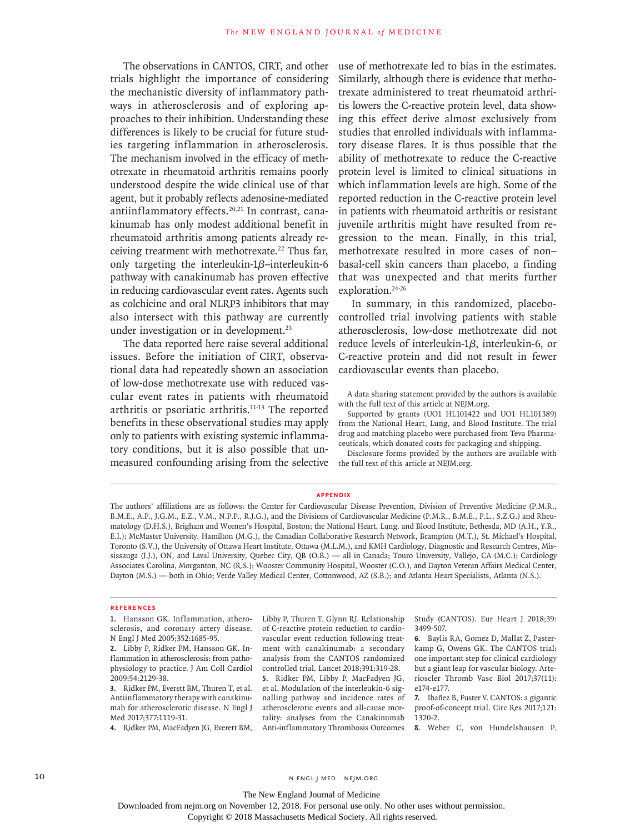The observations in CANTOS, CIRT, and other trials highlight the importance of considering the mechanistic diversity of inflammatory pathways in atherosclerosis and of exploring approaches to their inhibition. Understanding these differences is likely to be crucial for future studies targeting inflammation in atherosclerosis. The mechanism involved in the efficacy of methotrexate in rheumatoid arthritis remains poorly understood despite the wide clinical use of that agent, but it probably reflects adenosine-mediated antiinflammatory effects.<sup>20,21</sup> In contrast, canakinumab has only modest additional benefit in rheumatoid arthritis among patients already receiving treatment with methotrexate.<sup>22</sup> Thus far, only targeting the interleukin-1β–interleukin-6 pathway with canakinumab has proven effective in reducing cardiovascular event rates. Agents such as colchicine and oral NLRP3 inhibitors that may also intersect with this pathway are currently under investigation or in development.<sup>23</sup>

The data reported here raise several additional issues. Before the initiation of CIRT, observational data had repeatedly shown an association of low-dose methotrexate use with reduced vascular event rates in patients with rheumatoid arthritis or psoriatic arthritis.11-13 The reported benefits in these observational studies may apply only to patients with existing systemic inflammatory conditions, but it is also possible that unmeasured confounding arising from the selective

use of methotrexate led to bias in the estimates. Similarly, although there is evidence that methotrexate administered to treat rheumatoid arthritis lowers the C-reactive protein level, data showing this effect derive almost exclusively from studies that enrolled individuals with inflammatory disease flares. It is thus possible that the ability of methotrexate to reduce the C-reactive protein level is limited to clinical situations in which inflammation levels are high. Some of the reported reduction in the C-reactive protein level in patients with rheumatoid arthritis or resistant juvenile arthritis might have resulted from regression to the mean. Finally, in this trial, methotrexate resulted in more cases of non– basal-cell skin cancers than placebo, a finding that was unexpected and that merits further exploration.<sup>24-26</sup>

In summary, in this randomized, placebocontrolled trial involving patients with stable atherosclerosis, low-dose methotrexate did not reduce levels of interleukin-1β, interleukin-6, or C-reactive protein and did not result in fewer cardiovascular events than placebo.

A data sharing statement provided by the authors is available with the full text of this article at NEJM.org.

Supported by grants (UO1 HL101422 and UO1 HL101389) from the National Heart, Lung, and Blood Institute. The trial drug and matching placebo were purchased from Teva Pharmaceuticals, which donated costs for packaging and shipping.

Disclosure forms provided by the authors are available with the full text of this article at NEJM.org.

#### **Appendix**

The authors' affiliations are as follows: the Center for Cardiovascular Disease Prevention, Division of Preventive Medicine (P.M.R., B.M.E., A.P., J.G.M., E.Z., V.M., N.P.P., R.J.G.), and the Divisions of Cardiovascular Medicine (P.M.R., B.M.E., P.L., S.Z.G.) and Rheumatology (D.H.S.), Brigham and Women's Hospital, Boston; the National Heart, Lung, and Blood Institute, Bethesda, MD (A.H., Y.R., E.I.); McMaster University, Hamilton (M.G.), the Canadian Collaborative Research Network, Brampton (M.T.), St. Michael's Hospital, Toronto (S.V.), the University of Ottawa Heart Institute, Ottawa (M.L.M.), and KMH Cardiology, Diagnostic and Research Centres, Mississauga (J.J.), ON, and Laval University, Quebec City, QB (O.B.) — all in Canada; Touro University, Vallejo, CA (M.C.); Cardiology Associates Carolina, Morganton, NC (R.S.); Wooster Community Hospital, Wooster (C.O.), and Dayton Veteran Affairs Medical Center, Dayton (M.S.) — both in Ohio; Verde Valley Medical Center, Cottonwood, AZ (S.B.); and Atlanta Heart Specialists, Atlanta (N.S.).

#### **References**

**1.** Hansson GK. Inflammation, atherosclerosis, and coronary artery disease. N Engl J Med 2005;352:1685-95.

**2.** Libby P, Ridker PM, Hansson GK. Inflammation in atherosclerosis: from pathophysiology to practice. J Am Coll Cardiol 2009;54:2129-38.

**3.** Ridker PM, Everett BM, Thuren T, et al. Antiinflammatory therapy with canakinumab for atherosclerotic disease. N Engl J Med 2017;377:1119-31.

**4.** Ridker PM, MacFadyen JG, Everett BM,

Libby P, Thuren T, Glynn RJ. Relationship of C-reactive protein reduction to cardiovascular event reduction following treatment with canakinumab: a secondary analysis from the CANTOS randomized controlled trial. Lancet 2018;391:319-28. **5.** Ridker PM, Libby P, MacFadyen JG, et al. Modulation of the interleukin-6 signalling pathway and incidence rates of atherosclerotic events and all-cause mortality: analyses from the Canakinumab Anti-inflammatory Thrombosis Outcomes Study (CANTOS). Eur Heart J 2018;39: 3499-507.

**6.** Baylis RA, Gomez D, Mallat Z, Pasterkamp G, Owens GK. The CANTOS trial: one important step for clinical cardiology but a giant leap for vascular biology. Arterioscler Thromb Vasc Biol 2017;37(11): e174-e177.

**7.** Ibañez B, Fuster V. CANTOS: a gigantic proof-of-concept trial. Circ Res 2017;121: 1320-2.

**8.** Weber C, von Hundelshausen P.

The New England Journal of Medicine

Downloaded from nejm.org on November 12, 2018. For personal use only. No other uses without permission.